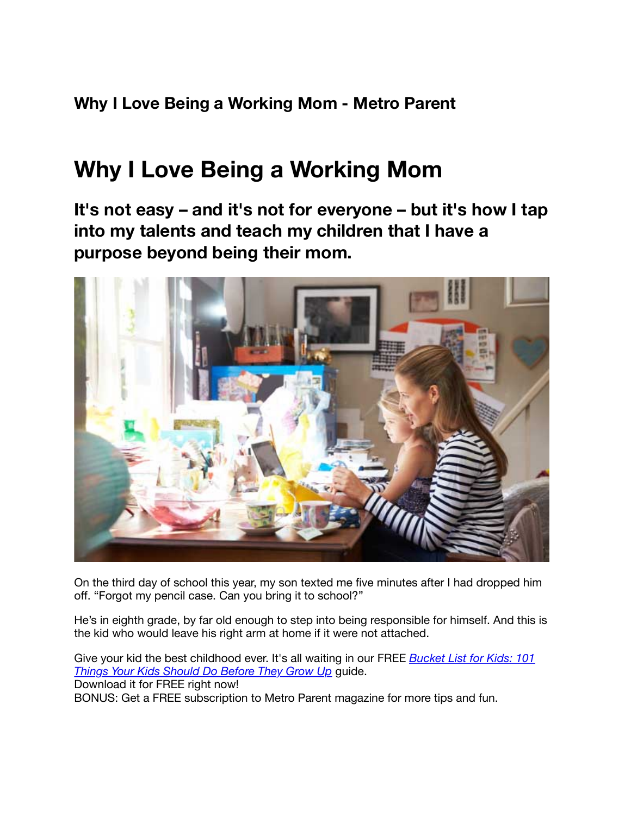**Why I Love Being a Working Mom - Metro Parent**

## **Why I Love Being a Working Mom**

**It's not easy – and it's not for everyone – but it's how I tap into my talents and teach my children that I have a purpose beyond being their mom.**



On the third day of school this year, my son texted me five minutes after I had dropped him off. "Forgot my pencil case. Can you bring it to school?"

He's in eighth grade, by far old enough to step into being responsible for himself. And this is the kid who would leave his right arm at home if it were not attached.

[Give your kid the best childhood ever. It's all waiting in our FREE](http://www.metroparent.com/freebies/bucket-list-for-kids-101-things-your-kids-should-do-before-they-grow-up/) *Bucket List for Kids: 101 Things Your Kids Should Do Before They Grow Up* guide. Download it for FREE right now! BONUS: Get a FREE subscription to Metro Parent magazine for more tips and fun.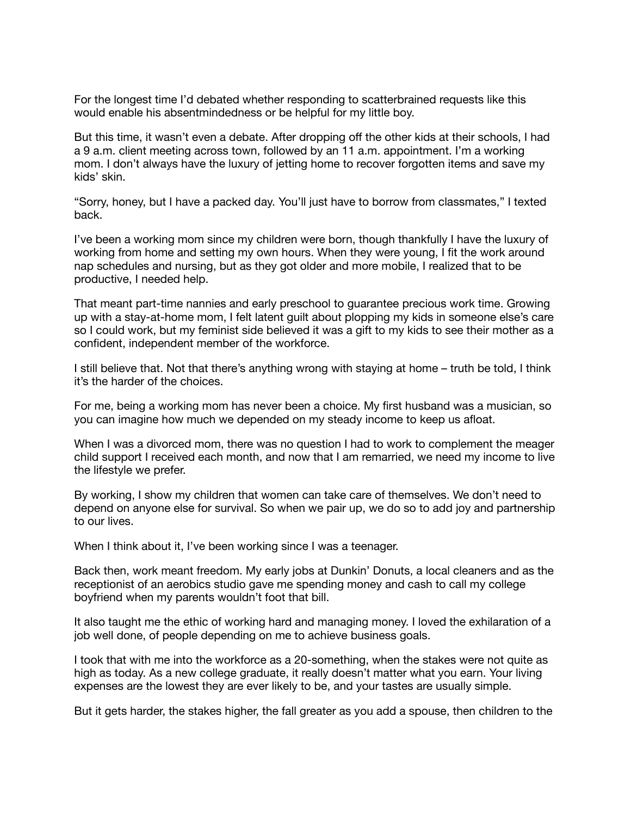For the longest time I'd debated whether responding to scatterbrained requests like this would enable his absentmindedness or be helpful for my little boy.

But this time, it wasn't even a debate. After dropping off the other kids at their schools, I had a 9 a.m. client meeting across town, followed by an 11 a.m. appointment. I'm a working mom. I don't always have the luxury of jetting home to recover forgotten items and save my kids' skin.

"Sorry, honey, but I have a packed day. You'll just have to borrow from classmates," I texted back.

I've been a working mom since my children were born, though thankfully I have the luxury of working from home and setting my own hours. When they were young, I fit the work around nap schedules and nursing, but as they got older and more mobile, I realized that to be productive, I needed help.

That meant part-time nannies and early preschool to guarantee precious work time. Growing up with a stay-at-home mom, I felt latent guilt about plopping my kids in someone else's care so I could work, but my feminist side believed it was a gift to my kids to see their mother as a confident, independent member of the workforce.

I still believe that. Not that there's anything wrong with staying at home – truth be told, I think it's the harder of the choices.

For me, being a working mom has never been a choice. My first husband was a musician, so you can imagine how much we depended on my steady income to keep us afloat.

When I was a divorced mom, there was no question I had to work to complement the meager child support I received each month, and now that I am remarried, we need my income to live the lifestyle we prefer.

By working, I show my children that women can take care of themselves. We don't need to depend on anyone else for survival. So when we pair up, we do so to add joy and partnership to our lives.

When I think about it, I've been working since I was a teenager.

Back then, work meant freedom. My early jobs at Dunkin' Donuts, a local cleaners and as the receptionist of an aerobics studio gave me spending money and cash to call my college boyfriend when my parents wouldn't foot that bill.

It also taught me the ethic of working hard and managing money. I loved the exhilaration of a job well done, of people depending on me to achieve business goals.

I took that with me into the workforce as a 20-something, when the stakes were not quite as high as today. As a new college graduate, it really doesn't matter what you earn. Your living expenses are the lowest they are ever likely to be, and your tastes are usually simple.

But it gets harder, the stakes higher, the fall greater as you add a spouse, then children to the